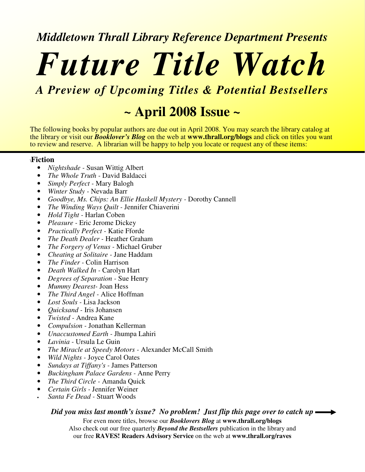### *Middletown Thrall Library Reference Department Presents*

# *Future Title Watch*

*A Preview of Upcoming Titles & Potential Bestsellers*

## **~ April 2008 Issue ~**

The following books by popular authors are due out in April 2008. You may search the library catalog at the library or visit our *Booklover's Blog* on the web at **www.thrall.org/blogs** and click on titles you want to review and reserve. A librarian will be happy to help you locate or request any of these items:

## \**Fiction**

- *Nightshade -* Susan Wittig Albert
- *The Whole Truth -* David Baldacci
- *Simply Perfect -* Mary Balogh
- *Winter Study -* Nevada Barr
- *Goodbye, Ms. Chips: An Ellie Haskell Mystery -* Dorothy Cannell
- *The Winding Ways Quilt -* Jennifer Chiaverini
- *Hold Tight -* Harlan Coben
- *Pleasure -* Eric Jerome Dickey
- *Practically Perfect -* Katie Fforde
- *The Death Dealer -* Heather Graham
- *The Forgery of Venus -* Michael Gruber
- *Cheating at Solitaire -* Jane Haddam
- *The Finder -* Colin Harrison
- *Death Walked In -* Carolyn Hart
- *Degrees of Separation -* Sue Henry
- *Mummy Dearest-* Joan Hess
- *The Third Angel -* Alice Hoffman
- *Lost Souls -* Lisa Jackson
- *Quicksand -* Iris Johansen
- *Twisted -* Andrea Kane
- *Compulsion -* Jonathan Kellerman
- *Unaccustomed Earth -* Jhumpa Lahiri
- *Lavinia -* Ursula Le Guin
- *The Miracle at Speedy Motors -* Alexander McCall Smith
- *Wild Nights -* Joyce Carol Oates
- *Sundays at Tiffany's -* James Patterson
- *Buckingham Palace Gardens -* Anne Perry
- *The Third Circle -* Amanda Quick
- *Certain Girls -* Jennifer Weiner
- *Santa Fe Dead -* Stuart Woods

### *Did you miss last month's issue? No problem! Just flip this page over to catch up*

For even more titles, browse our *Booklovers Blog* at **www.thrall.org/blogs** Also check out our free quarterly *Beyond the Bestsellers* publication in the library and our free **RAVES! Readers Advisory Service** on the web at **www.thrall.org/raves**